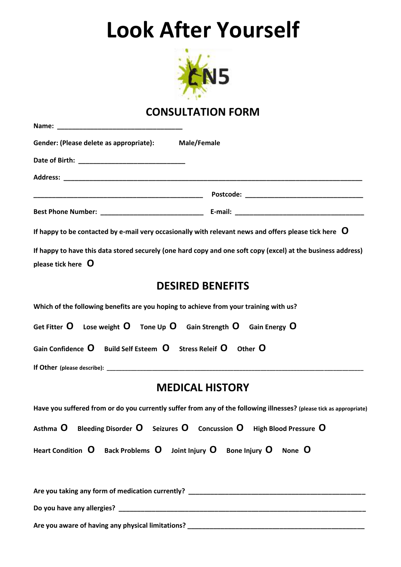## **Look After Yourself**



## **CONSULTATION FORM**

| Gender: (Please delete as appropriate): Male/Female                                                                                       |
|-------------------------------------------------------------------------------------------------------------------------------------------|
|                                                                                                                                           |
|                                                                                                                                           |
|                                                                                                                                           |
|                                                                                                                                           |
| If happy to be contacted by e-mail very occasionally with relevant news and offers please tick here $\,$ $\,$ $\,$ O                      |
| If happy to have this data stored securely (one hard copy and one soft copy (excel) at the business address)<br>please tick here $\Omega$ |
| <b>DESIRED BENEFITS</b>                                                                                                                   |
| Which of the following benefits are you hoping to achieve from your training with us?                                                     |
| Get Fitter $O$ Lose weight $O$ Tone Up $O$ Gain Strength $O$ Gain Energy $O$                                                              |
| Gain Confidence O Build Self Esteem O Stress Releif O Other O                                                                             |
|                                                                                                                                           |
| <b>MEDICAL HISTORY</b>                                                                                                                    |
| Have you suffered from or do you currently suffer from any of the following illnesses? (please tick as appropriate)                       |
| Asthma $O$ Bleeding Disorder $O$ Seizures $O$ Concussion $O$ High Blood Pressure $O$                                                      |
| Heart Condition $O$ Back Problems $O$ Joint Injury $O$ Bone Injury $O$ None $O$                                                           |
|                                                                                                                                           |
|                                                                                                                                           |

**Are you aware of having any physical limitations? \_\_\_\_\_\_\_\_\_\_\_\_\_\_\_\_\_\_\_\_\_\_\_\_\_\_\_\_\_\_\_\_\_\_\_\_\_\_\_\_\_\_\_\_\_\_\_\_**